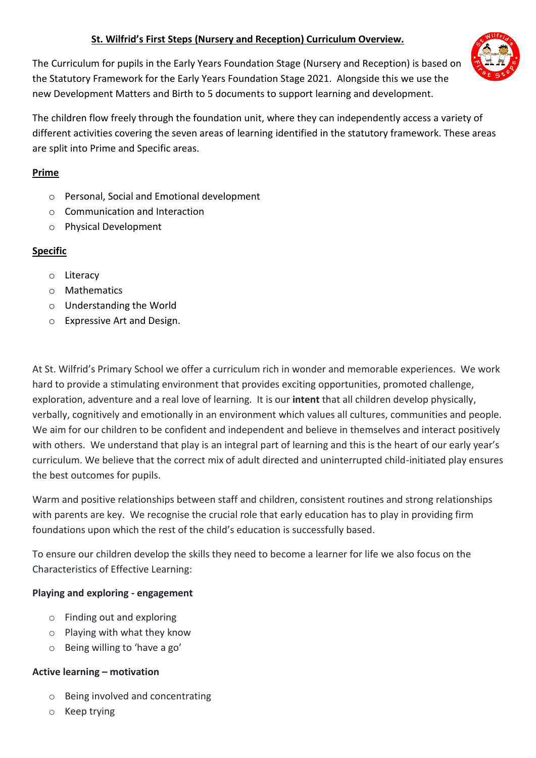### **St. Wilfrid's First Steps (Nursery and Reception) Curriculum Overview.**

The Curriculum for pupils in the Early Years Foundation Stage (Nursery and Reception) is based on the Statutory Framework for the Early Years Foundation Stage 2021. Alongside this we use the new Development Matters and Birth to 5 documents to support learning and development.

The children flow freely through the foundation unit, where they can independently access a variety of different activities covering the seven areas of learning identified in the statutory framework. These areas are split into Prime and Specific areas.

### **Prime**

- o Personal, Social and Emotional development
- o Communication and Interaction
- o Physical Development

## **Specific**

- o Literacy
- o Mathematics
- o Understanding the World
- o Expressive Art and Design.

At St. Wilfrid's Primary School we offer a curriculum rich in wonder and memorable experiences. We work hard to provide a stimulating environment that provides exciting opportunities, promoted challenge, exploration, adventure and a real love of learning. It is our **intent** that all children develop physically, verbally, cognitively and emotionally in an environment which values all cultures, communities and people. We aim for our children to be confident and independent and believe in themselves and interact positively with others. We understand that play is an integral part of learning and this is the heart of our early year's curriculum. We believe that the correct mix of adult directed and uninterrupted child-initiated play ensures the best outcomes for pupils.

Warm and positive relationships between staff and children, consistent routines and strong relationships with parents are key. We recognise the crucial role that early education has to play in providing firm foundations upon which the rest of the child's education is successfully based.

To ensure our children develop the skills they need to become a learner for life we also focus on the Characteristics of Effective Learning:

### **Playing and exploring - engagement**

- o Finding out and exploring
- o Playing with what they know
- o Being willing to 'have a go'

### **Active learning – motivation**

- o Being involved and concentrating
- o Keep trying